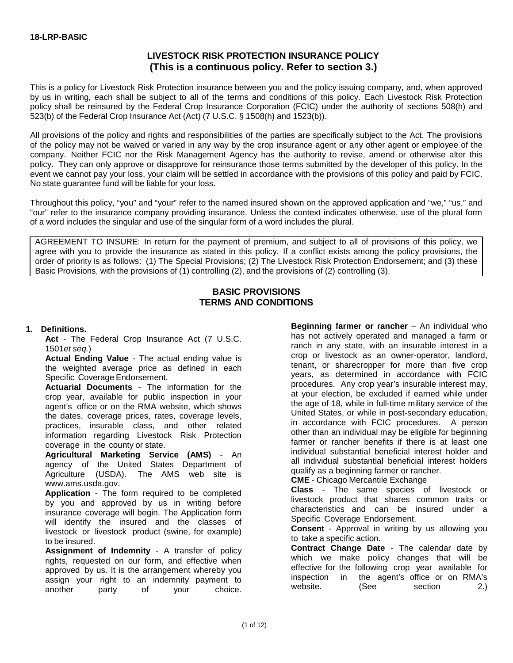## **LIVESTOCK RISK PROTECTION INSURANCE POLICY (This is a continuous policy. Refer to section 3.)**

This is a policy for Livestock Risk Protection insurance between you and the policy issuing company, and, when approved by us in writing, each shall be subject to all of the terms and conditions of this policy. Each Livestock Risk Protection policy shall be reinsured by the Federal Crop Insurance Corporation (FCIC) under the authority of sections 508(h) and 523(b) of the Federal Crop Insurance Act (Act) (7 U.S.C. § 1508(h) and 1523(b)).

All provisions of the policy and rights and responsibilities of the parties are specifically subject to the Act. The provisions of the policy may not be waived or varied in any way by the crop insurance agent or any other agent or employee of the company. Neither FCIC nor the Risk Management Agency has the authority to revise, amend or otherwise alter this policy. They can only approve or disapprove for reinsurance those terms submitted by the developer of this policy. In the event we cannot pay your loss, your claim will be settled in accordance with the provisions of this policy and paid by FCIC. No state guarantee fund will be liable for your loss.

Throughout this policy, "you" and "your" refer to the named insured shown on the approved application and "we," "us," and "our" refer to the insurance company providing insurance. Unless the context indicates otherwise, use of the plural form of a word includes the singular and use of the singular form of a word includes the plural.

AGREEMENT TO INSURE: In return for the payment of premium, and subject to all of provisions of this policy, we agree with you to provide the insurance as stated in this policy. If a conflict exists among the policy provisions, the order of priority is as follows: (1) The Special Provisions; (2) The Livestock Risk Protection Endorsement; and (3) these Basic Provisions, with the provisions of (1) controlling (2), and the provisions of (2) controlling (3).

#### **BASIC PROVISIONS TERMS AND CONDITIONS**

#### **1. Definitions.**

**Act** - The Federal Crop Insurance Act (7 U.S.C. 1501*et seq.*)

**Actual Ending Value** - The actual ending value is the weighted average price as defined in each Specific Coverage Endorsement.

**Actuarial Documents** - The information for the crop year, available for public inspection in your agent's office or on the RMA website, which shows the dates, coverage prices, rates, coverage levels, practices, insurable class, and other related information regarding Livestock Risk Protection coverage in the county or state.

**Agricultural Marketing Service (AMS)** - An agency of the United States Department of Agriculture (USDA). The AMS web site is [www.ams.usda.gov.](http://www.ams.usda.gov/)

**Application** - The form required to be completed by you and approved by us in writing before insurance coverage will begin. The Application form will identify the insured and the classes of livestock or livestock product (swine, for example) to be insured.

**Assignment of Indemnity** - A transfer of policy rights, requested on our form, and effective when approved by us. It is the arrangement whereby you assign your right to an indemnity payment to another party of your choice.

**Beginning farmer or rancher** – An individual who has not actively operated and managed a farm or ranch in any state, with an insurable interest in a crop or livestock as an owner-operator, landlord, tenant, or sharecropper for more than five crop years, as determined in accordance with FCIC procedures. Any crop year's insurable interest may, at your election, be excluded if earned while under the age of 18, while in full-time military service of the United States, or while in post-secondary education, in accordance with FCIC procedures. A person other than an individual may be eligible for beginning farmer or rancher benefits if there is at least one individual substantial beneficial interest holder and all individual substantial beneficial interest holders qualify as a beginning farmer or rancher.

**CME** - Chicago Mercantile Exchange

**Class** - The same species of livestock or livestock product that shares common traits or characteristics and can be insured under a Specific Coverage Endorsement.

**Consent** - Approval in writing by us allowing you to take a specific action.

**Contract Change Date** - The calendar date by which we make policy changes that will be effective for the following crop year available for inspection in the agent's office or on RMA's website. (See section 2.)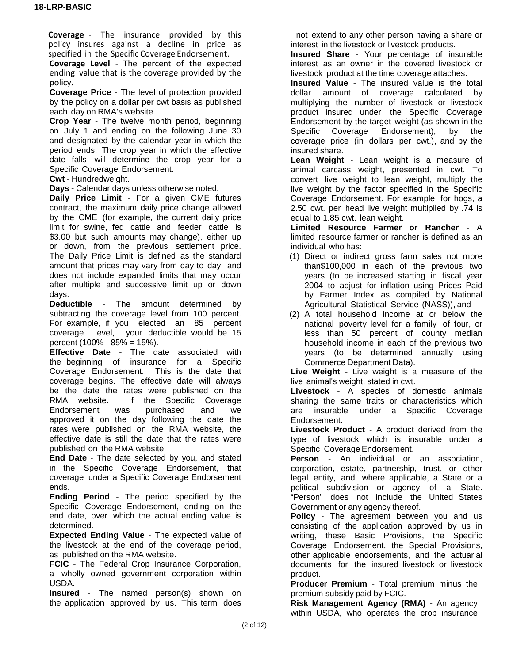**Coverage** - The insurance provided by this policy insures against a decline in price as specified in the Specific Coverage Endorsement.

**Coverage Level** - The percent of the expected ending value that is the coverage provided by the policy.

**Coverage Price** - The level of protection provided by the policy on a dollar per cwt basis as published each day on RMA's website.

**Crop Year** - The twelve month period, beginning on July 1 and ending on the following June 30 and designated by the calendar year in which the period ends. The crop year in which the effective date falls will determine the crop year for a Specific Coverage Endorsement.

**Cwt** - Hundredweight.

**Days** - Calendar days unless otherwise noted.

**Daily Price Limit** - For a given CME futures contract, the maximum daily price change allowed by the CME (for example, the current daily price limit for swine, fed cattle and feeder cattle is \$3.00 but such amounts may change), either up or down, from the previous settlement price. The Daily Price Limit is defined as the standard amount that prices may vary from day to day, and does not include expanded limits that may occur after multiple and successive limit up or down days.

**Deductible** - The amount determined by subtracting the coverage level from 100 percent. For example, if you elected an 85 percent coverage level, your deductible would be 15 percent (100% - 85% = 15%).

**Effective Date** - The date associated with the beginning of insurance for a Specific Coverage Endorsement. This is the date that coverage begins. The effective date will always be the date the rates were published on the<br>RMA website. If the Specific Coverage If the Specific Coverage<br>s purchased and we Endorsement was purchased and we approved it on the day following the date the rates were published on the RMA website, the effective date is still the date that the rates were published on the RMA website.

**End Date** - The date selected by you, and stated in the Specific Coverage Endorsement, that coverage under a Specific Coverage Endorsement ends.

**Ending Period** - The period specified by the Specific Coverage Endorsement, ending on the end date, over which the actual ending value is determined.

**Expected Ending Value** - The expected value of the livestock at the end of the coverage period, as published on the RMA website.

**FCIC** - The Federal Crop Insurance Corporation, a wholly owned government corporation within USDA.

**Insured** - The named person(s) shown on the application approved by us. This term does

not extend to any other person having a share or interest in the livestock or livestock products.

**Insured Share** - Your percentage of insurable interest as an owner in the covered livestock or livestock product at the time coverage attaches.

**Insured Value** - The insured value is the total dollar amount of coverage calculated by multiplying the number of livestock or livestock product insured under the Specific Coverage Endorsement by the target weight (as shown in the Specific Coverage Endorsement), by the coverage price (in dollars per cwt.), and by the insured share.

**Lean Weight** - Lean weight is a measure of animal carcass weight, presented in cwt. To convert live weight to lean weight, multiply the live weight by the factor specified in the Specific Coverage Endorsement. For example, for hogs, a 2.50 cwt. per head live weight multiplied by .74 is equal to 1.85 cwt. lean weight.

**Limited Resource Farmer or Rancher** - A limited resource farmer or rancher is defined as an individual who has:

- (1) Direct or indirect gross farm sales not more than\$100,000 in each of the previous two years (to be increased starting in fiscal year 2004 to adjust for inflation using Prices Paid by Farmer Index as compiled by National Agricultural Statistical Service (NASS)), and
- (2) A total household income at or below the national poverty level for a family of four, or less than 50 percent of county median household income in each of the previous two years (to be determined annually using Commerce Department Data).

**Live Weight** - Live weight is a measure of the live animal's weight, stated in cwt.

**Livestock** - A species of domestic animals sharing the same traits or characteristics which are insurable under a Specific Coverage Endorsement.

**Livestock Product** - A product derived from the type of livestock which is insurable under a Specific Coverage Endorsement.

**Person** - An individual or an association, corporation, estate, partnership, trust, or other legal entity, and, where applicable, a State or a political subdivision or agency of a State. "Person" does not include the United States Government or any agency thereof.

**Policy** - The agreement between you and us consisting of the application approved by us in writing, these Basic Provisions, the Specific Coverage Endorsement, the Special Provisions, other applicable endorsements, and the actuarial documents for the insured livestock or livestock product.

**Producer Premium** - Total premium minus the premium subsidy paid by FCIC.

**Risk Management Agency (RMA)** - An agency within USDA, who operates the crop insurance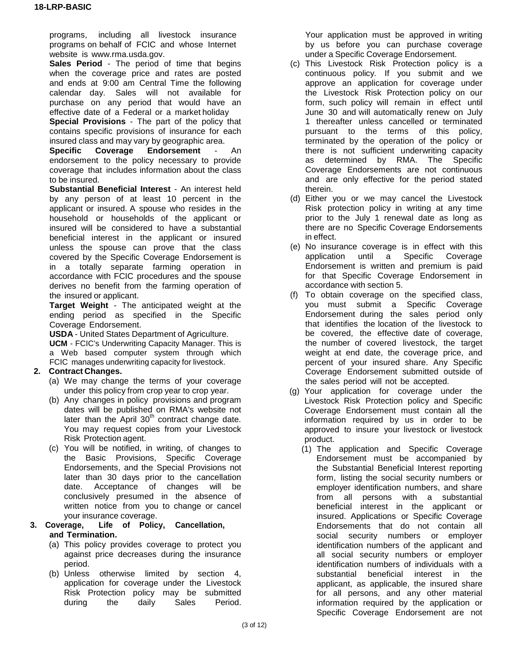programs, including all livestock insurance programs on behalf of FCIC and whose Internet website is [www.rma.usda.gov.](http://www.rma.usda.gov/)

**Sales Period** - The period of time that begins when the coverage price and rates are posted and ends at 9:00 am Central Time the following calendar day. Sales will not available for purchase on any period that would have an effective date of a Federal or a market holiday

**Special Provisions** - The part of the policy that contains specific provisions of insurance for each insured class and may vary by geographic area.

**Specific Coverage Endorsement** - An endorsement to the policy necessary to provide coverage that includes information about the class to be insured.

**Substantial Beneficial Interest** - An interest held by any person of at least 10 percent in the applicant or insured. A spouse who resides in the household or households of the applicant or insured will be considered to have a substantial beneficial interest in the applicant or insured unless the spouse can prove that the class covered by the Specific Coverage Endorsement is in a totally separate farming operation in accordance with FCIC procedures and the spouse derives no benefit from the farming operation of the insured or applicant.

**Target Weight** - The anticipated weight at the ending period as specified in the Specific Coverage Endorsement.

**USDA** - United States Department of Agriculture.

**UCM** - FCIC's Underwriting Capacity Manager. This is a Web based computer system through which FCIC manages underwriting capacity for livestock.

#### **2. Contract Changes.**

- (a) We may change the terms of your coverage under this policy from crop year to crop year.
- (b) Any changes in policy provisions and program dates will be published on RMA's website not later than the April  $30<sup>th</sup>$  contract change date. You may request copies from your Livestock Risk Protection agent.
- (c) You will be notified, in writing, of changes to the Basic Provisions, Specific Coverage Endorsements, and the Special Provisions not later than 30 days prior to the cancellation date. Acceptance of changes will be conclusively presumed in the absence of written notice from you to change or cancel

#### your insurance coverage.<br>3. Coverage, Life of Polic **3. Coverage, Life of Policy, Cancellation, and Termination.**

- (a) This policy provides coverage to protect you against price decreases during the insurance period.
- (b) Unless otherwise limited by section 4, application for coverage under the Livestock Risk Protection policy may be submitted<br>during the daily Sales Period. during

Your application must be approved in writing by us before you can purchase coverage under a Specific Coverage Endorsement.

- (c) This Livestock Risk Protection policy is a continuous policy. If you submit and we approve an application for coverage under the Livestock Risk Protection policy on our form, such policy will remain in effect until June 30 and will automatically renew on July 1 thereafter unless cancelled or terminated pursuant to the terms of this policy, terminated by the operation of the policy or there is not sufficient underwriting capacity as determined by RMA. The Specific Coverage Endorsements are not continuous and are only effective for the period stated therein.
- (d) Either you or we may cancel the Livestock Risk protection policy in writing at any time prior to the July 1 renewal date as long as there are no Specific Coverage Endorsements in effect.
- (e) No insurance coverage is in effect with this application until a Specific Coverage Endorsement is written and premium is paid for that Specific Coverage Endorsement in accordance with section 5.
- (f) To obtain coverage on the specified class, you must submit a Specific Coverage Endorsement during the sales period only that identifies the location of the livestock to be covered, the effective date of coverage, the number of covered livestock, the target weight at end date, the coverage price, and percent of your insured share. Any Specific Coverage Endorsement submitted outside of the sales period will not be accepted.
- (g) Your application for coverage under the Livestock Risk Protection policy and Specific Coverage Endorsement must contain all the information required by us in order to be approved to insure your livestock or livestock product.
	- (1) The application and Specific Coverage Endorsement must be accompanied by the Substantial Beneficial Interest reporting form, listing the social security numbers or employer identification numbers, and share from all persons with a substantial beneficial interest in the applicant or insured. Applications or Specific Coverage Endorsements that do not contain all social security numbers or employer identification numbers of the applicant and all social security numbers or employer identification numbers of individuals with a substantial beneficial interest in the applicant, as applicable, the insured share for all persons, and any other material information required by the application or Specific Coverage Endorsement are not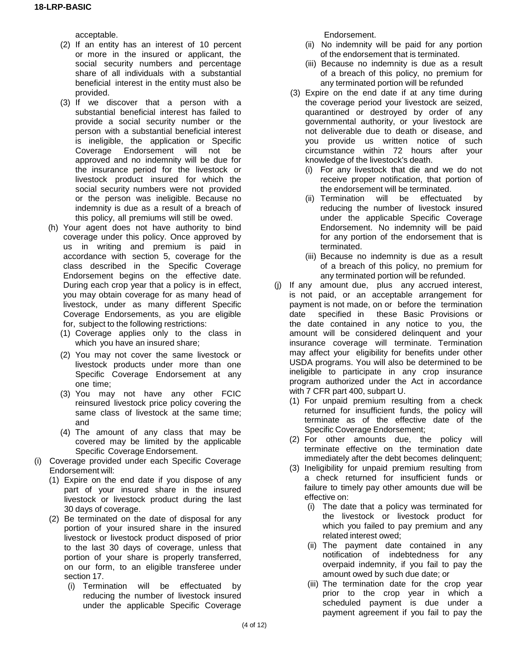acceptable.

- (2) If an entity has an interest of 10 percent or more in the insured or applicant, the social security numbers and percentage share of all individuals with a substantial beneficial interest in the entity must also be provided.
- (3) If we discover that a person with a substantial beneficial interest has failed to provide a social security number or the person with a substantial beneficial interest is ineligible, the application or Specific Coverage Endorsement will not be approved and no indemnity will be due for the insurance period for the livestock or livestock product insured for which the social security numbers were not provided or the person was ineligible. Because no indemnity is due as a result of a breach of this policy, all premiums will still be owed.
- (h) Your agent does not have authority to bind coverage under this policy. Once approved by us in writing and premium is paid in accordance with section 5, coverage for the class described in the Specific Coverage Endorsement begins on the effective date. During each crop year that a policy is in effect, you may obtain coverage for as many head of livestock, under as many different Specific Coverage Endorsements, as you are eligible for, subject to the following restrictions:
	- (1) Coverage applies only to the class in which you have an insured share;
	- (2) You may not cover the same livestock or livestock products under more than one Specific Coverage Endorsement at any one time;
	- (3) You may not have any other FCIC reinsured livestock price policy covering the same class of livestock at the same time; and
	- (4) The amount of any class that may be covered may be limited by the applicable Specific Coverage Endorsement.
- (i) Coverage provided under each Specific Coverage Endorsement will:
	- (1) Expire on the end date if you dispose of any part of your insured share in the insured livestock or livestock product during the last 30 days of coverage.
	- (2) Be terminated on the date of disposal for any portion of your insured share in the insured livestock or livestock product disposed of prior to the last 30 days of coverage, unless that portion of your share is properly transferred, on our form, to an eligible transferee under section 17.
		- (i) Termination will be effectuated by reducing the number of livestock insured under the applicable Specific Coverage

Endorsement.

- (ii) No indemnity will be paid for any portion of the endorsement that is terminated.
- (iii) Because no indemnity is due as a result of a breach of this policy, no premium for any terminated portion will be refunded
- (3) Expire on the end date if at any time during the coverage period your livestock are seized, quarantined or destroyed by order of any governmental authority, or your livestock are not deliverable due to death or disease, and you provide us written notice of such circumstance within 72 hours after your knowledge of the livestock's death.
	- (i) For any livestock that die and we do not receive proper notification, that portion of the endorsement will be terminated.
	- (ii) Termination will be effectuated by reducing the number of livestock insured under the applicable Specific Coverage Endorsement. No indemnity will be paid for any portion of the endorsement that is terminated.
	- (iii) Because no indemnity is due as a result of a breach of this policy, no premium for any terminated portion will be refunded.
- (j) If any amount due, plus any accrued interest, is not paid, or an acceptable arrangement for payment is not made, on or before the termination date specified in these Basic Provisions or the date contained in any notice to you, the amount will be considered delinquent and your insurance coverage will terminate. Termination may affect your eligibility for benefits under other USDA programs. You will also be determined to be ineligible to participate in any crop insurance program authorized under the Act in accordance with 7 CFR part 400, subpart U.
	- (1) For unpaid premium resulting from a check returned for insufficient funds, the policy will terminate as of the effective date of the Specific Coverage Endorsement;
	- (2) For other amounts due, the policy will terminate effective on the termination date immediately after the debt becomes delinquent;
	- (3) Ineligibility for unpaid premium resulting from a check returned for insufficient funds or failure to timely pay other amounts due will be effective on:
		- (i) The date that a policy was terminated for the livestock or livestock product for which you failed to pay premium and any related interest owed;
		- (ii) The payment date contained in any notification of indebtedness for any overpaid indemnity, if you fail to pay the amount owed by such due date; or
		- (iii) The termination date for the crop year prior to the crop year in which a scheduled payment is due under a payment agreement if you fail to pay the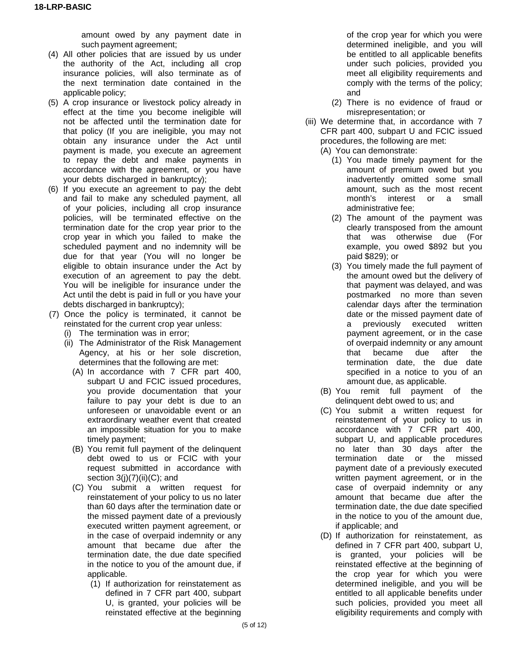amount owed by any payment date in such payment agreement;

- (4) All other policies that are issued by us under the authority of the Act, including all crop insurance policies, will also terminate as of the next termination date contained in the applicable policy;
- (5) A crop insurance or livestock policy already in effect at the time you become ineligible will not be affected until the termination date for that policy (If you are ineligible, you may not obtain any insurance under the Act until payment is made, you execute an agreement to repay the debt and make payments in accordance with the agreement, or you have your debts discharged in bankruptcy);
- (6) If you execute an agreement to pay the debt and fail to make any scheduled payment, all of your policies, including all crop insurance policies, will be terminated effective on the termination date for the crop year prior to the crop year in which you failed to make the scheduled payment and no indemnity will be due for that year (You will no longer be eligible to obtain insurance under the Act by execution of an agreement to pay the debt. You will be ineligible for insurance under the Act until the debt is paid in full or you have your debts discharged in bankruptcy);
- (7) Once the policy is terminated, it cannot be reinstated for the current crop year unless:
	- (i) The termination was in error;
	- (ii) The Administrator of the Risk Management Agency, at his or her sole discretion, determines that the following are met:
		- (A) In accordance with 7 CFR part 400, subpart U and FCIC issued procedures, you provide documentation that your failure to pay your debt is due to an unforeseen or unavoidable event or an extraordinary weather event that created an impossible situation for you to make timely payment;
		- (B) You remit full payment of the delinquent debt owed to us or FCIC with your request submitted in accordance with section  $3(j)(7)(ii)(C)$ ; and
		- (C) You submit a written request for reinstatement of your policy to us no later than 60 days after the termination date or the missed payment date of a previously executed written payment agreement, or in the case of overpaid indemnity or any amount that became due after the termination date, the due date specified in the notice to you of the amount due, if applicable.
			- (1) If authorization for reinstatement as defined in 7 CFR part 400, subpart U, is granted, your policies will be reinstated effective at the beginning

of the crop year for which you were determined ineligible, and you will be entitled to all applicable benefits under such policies, provided you meet all eligibility requirements and comply with the terms of the policy; and

- (2) There is no evidence of fraud or misrepresentation; or
- (iii) We determine that, in accordance with 7 CFR part 400, subpart U and FCIC issued procedures, the following are met:

(A) You can demonstrate:

- (1) You made timely payment for the amount of premium owed but you inadvertently omitted some small amount, such as the most recent month's interest or a small administrative fee;
- (2) The amount of the payment was clearly transposed from the amount that was otherwise due (For example, you owed \$892 but you paid \$829); or
- (3) You timely made the full payment of the amount owed but the delivery of that payment was delayed, and was postmarked no more than seven calendar days after the termination date or the missed payment date of a previously executed written payment agreement, or in the case of overpaid indemnity or any amount that became due after the termination date, the due date specified in a notice to you of an amount due, as applicable.
- (B) You remit full payment of the delinquent debt owed to us; and
- (C) You submit a written request for reinstatement of your policy to us in accordance with 7 CFR part 400, subpart U, and applicable procedures no later than 30 days after the termination date or the missed payment date of a previously executed written payment agreement, or in the case of overpaid indemnity or any amount that became due after the termination date, the due date specified in the notice to you of the amount due, if applicable; and
- (D) If authorization for reinstatement, as defined in 7 CFR part 400, subpart U, is granted, your policies will be reinstated effective at the beginning of the crop year for which you were determined ineligible, and you will be entitled to all applicable benefits under such policies, provided you meet all eligibility requirements and comply with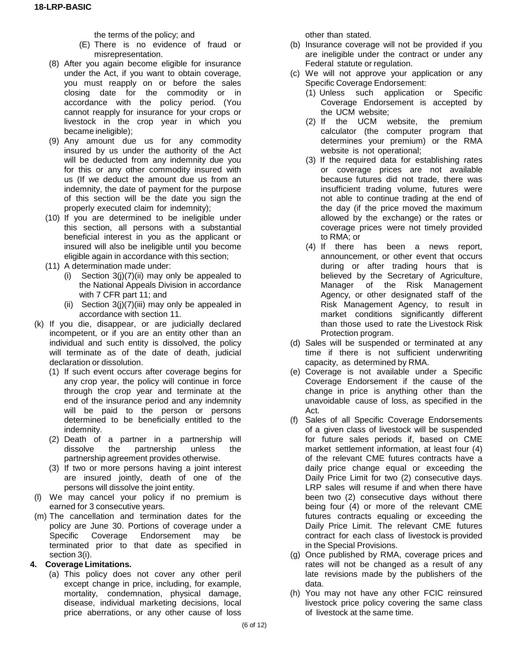the terms of the policy; and

- (E) There is no evidence of fraud or misrepresentation.
- (8) After you again become eligible for insurance under the Act, if you want to obtain coverage, you must reapply on or before the sales closing date for the commodity or in accordance with the policy period. (You cannot reapply for insurance for your crops or livestock in the crop year in which you became ineligible);
- (9) Any amount due us for any commodity insured by us under the authority of the Act will be deducted from any indemnity due you for this or any other commodity insured with us (If we deduct the amount due us from an indemnity, the date of payment for the purpose of this section will be the date you sign the properly executed claim for indemnity);
- (10) If you are determined to be ineligible under this section, all persons with a substantial beneficial interest in you as the applicant or insured will also be ineligible until you become eligible again in accordance with this section;
- (11) A determination made under:
	- (i) Section  $3(j)(7)(ii)$  may only be appealed to the National Appeals Division in accordance with 7 CFR part 11; and
	- (ii) Section  $3(j)(7)(iii)$  may only be appealed in accordance with section 11.
- (k) If you die, disappear, or are judicially declared incompetent, or if you are an entity other than an individual and such entity is dissolved, the policy will terminate as of the date of death, judicial declaration or dissolution.
	- (1) If such event occurs after coverage begins for any crop year, the policy will continue in force through the crop year and terminate at the end of the insurance period and any indemnity will be paid to the person or persons determined to be beneficially entitled to the indemnity.
	- (2) Death of a partner in a partnership will dissolve the partnership unless the partnership agreement provides otherwise.
	- (3) If two or more persons having a joint interest are insured jointly, death of one of the persons will dissolve the joint entity.
- (l) We may cancel your policy if no premium is earned for 3 consecutive years.
- (m) The cancellation and termination dates for the policy are June 30. Portions of coverage under a Specific Coverage Endorsement may be terminated prior to that date as specified in section 3(i).

#### **4. Coverage Limitations.**

(a) This policy does not cover any other peril except change in price, including, for example, mortality, condemnation, physical damage, disease, individual marketing decisions, local price aberrations, or any other cause of loss

other than stated.

- (b) Insurance coverage will not be provided if you are ineligible under the contract or under any Federal statute or regulation.
- (c) We will not approve your application or any Specific Coverage Endorsement:
	- (1) Unless such application or Specific Coverage Endorsement is accepted by the UCM website;
	- (2) If the UCM website, the premium calculator (the computer program that determines your premium) or the RMA website is not operational;
	- (3) If the required data for establishing rates or coverage prices are not available because futures did not trade, there was insufficient trading volume, futures were not able to continue trading at the end of the day (if the price moved the maximum allowed by the exchange) or the rates or coverage prices were not timely provided to RMA; or
	- (4) If there has been a news report, announcement, or other event that occurs during or after trading hours that is believed by the Secretary of Agriculture, Manager of the Risk Management Agency, or other designated staff of the Risk Management Agency, to result in market conditions significantly different than those used to rate the Livestock Risk Protection program.
- (d) Sales will be suspended or terminated at any time if there is not sufficient underwriting capacity, as determined by RMA.
- (e) Coverage is not available under a Specific Coverage Endorsement if the cause of the change in price is anything other than the unavoidable cause of loss, as specified in the Act.
- (f) Sales of all Specific Coverage Endorsements of a given class of livestock will be suspended for future sales periods if, based on CME market settlement information, at least four (4) of the relevant CME futures contracts have a daily price change equal or exceeding the Daily Price Limit for two (2) consecutive days. LRP sales will resume if and when there have been two (2) consecutive days without there being four (4) or more of the relevant CME futures contracts equaling or exceeding the Daily Price Limit. The relevant CME futures contract for each class of livestock is provided in the Special Provisions.
- (g) Once published by RMA, coverage prices and rates will not be changed as a result of any late revisions made by the publishers of the data.
- (h) You may not have any other FCIC reinsured livestock price policy covering the same class of livestock at the same time.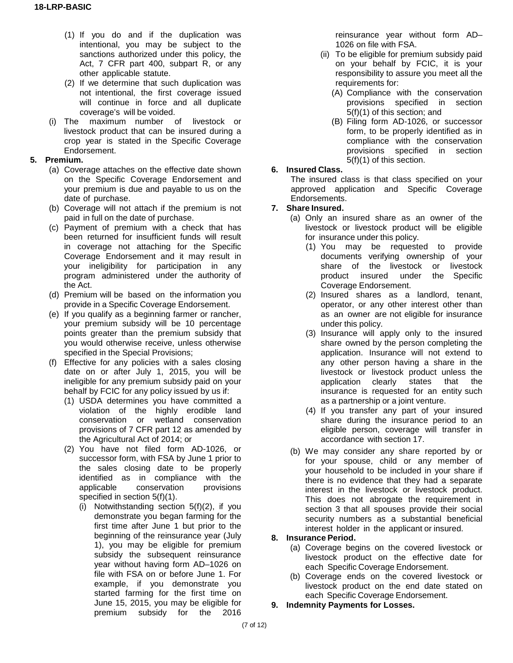- (1) If you do and if the duplication was intentional, you may be subject to the sanctions authorized under this policy, the Act, 7 CFR part 400, subpart R, or any other applicable statute.
- (2) If we determine that such duplication was not intentional, the first coverage issued will continue in force and all duplicate coverage's will be voided.
- (i) The maximum number of livestock or livestock product that can be insured during a crop year is stated in the Specific Coverage Endorsement.

#### **5. Premium.**

- (a) Coverage attaches on the effective date shown on the Specific Coverage Endorsement and your premium is due and payable to us on the date of purchase.
- (b) Coverage will not attach if the premium is not paid in full on the date of purchase.
- (c) Payment of premium with a check that has been returned for insufficient funds will result in coverage not attaching for the Specific Coverage Endorsement and it may result in your ineligibility for participation in any program administered under the authority of the Act.
- (d) Premium will be based on the information you provide in a Specific Coverage Endorsement.
- (e) If you qualify as a beginning farmer or rancher, your premium subsidy will be 10 percentage points greater than the premium subsidy that you would otherwise receive, unless otherwise specified in the Special Provisions;
- (f) Effective for any policies with a sales closing date on or after July 1, 2015, you will be ineligible for any premium subsidy paid on your behalf by FCIC for any policy issued by us if:
	- (1) USDA determines you have committed a violation of the highly erodible land conservation or wetland conservation provisions of 7 CFR part 12 as amended by the Agricultural Act of 2014; or
	- (2) You have not filed form AD-1026, or successor form, with FSA by June 1 prior to the sales closing date to be properly identified as in compliance with the applicable conservation provisions specified in section 5(f)(1).
		- (i) Notwithstanding section 5(f)(2), if you demonstrate you began farming for the first time after June 1 but prior to the beginning of the reinsurance year (July 1), you may be eligible for premium subsidy the subsequent reinsurance year without having form AD–1026 on file with FSA on or before June 1. For example, if you demonstrate you started farming for the first time on June 15, 2015, you may be eligible for premium subsidy for the 2016

reinsurance year without form AD– 1026 on file with FSA.

- (ii) To be eligible for premium subsidy paid on your behalf by FCIC, it is your responsibility to assure you meet all the requirements for:
	- (A) Compliance with the conservation provisions specified in section 5(f)(1) of this section; and
	- (B) Filing form AD-1026, or successor form, to be properly identified as in compliance with the conservation provisions specified in section 5(f)(1) of this section.

#### **6. Insured Class.**

The insured class is that class specified on your approved application and Specific Coverage Endorsements.

#### **7. Share Insured.**

- (a) Only an insured share as an owner of the livestock or livestock product will be eligible for insurance under this policy.
	- (1) You may be requested to provide documents verifying ownership of your share of the livestock or livestock product insured under the Specific Coverage Endorsement.
	- (2) Insured shares as a landlord, tenant, operator, or any other interest other than as an owner are not eligible for insurance under this policy.
	- (3) Insurance will apply only to the insured share owned by the person completing the application. Insurance will not extend to any other person having a share in the livestock or livestock product unless the<br>application clearly states that the application clearly insurance is requested for an entity such as a partnership or a joint venture.
	- (4) If you transfer any part of your insured share during the insurance period to an eligible person, coverage will transfer in accordance with section 17.
- (b) We may consider any share reported by or for your spouse, child or any member of your household to be included in your share if there is no evidence that they had a separate interest in the livestock or livestock product. This does not abrogate the requirement in section 3 that all spouses provide their social security numbers as a substantial beneficial interest holder in the applicant or insured.

## **8. Insurance Period.**

- (a) Coverage begins on the covered livestock or livestock product on the effective date for each Specific Coverage Endorsement.
- (b) Coverage ends on the covered livestock or livestock product on the end date stated on each Specific Coverage Endorsement.
- **9. Indemnity Payments for Losses.**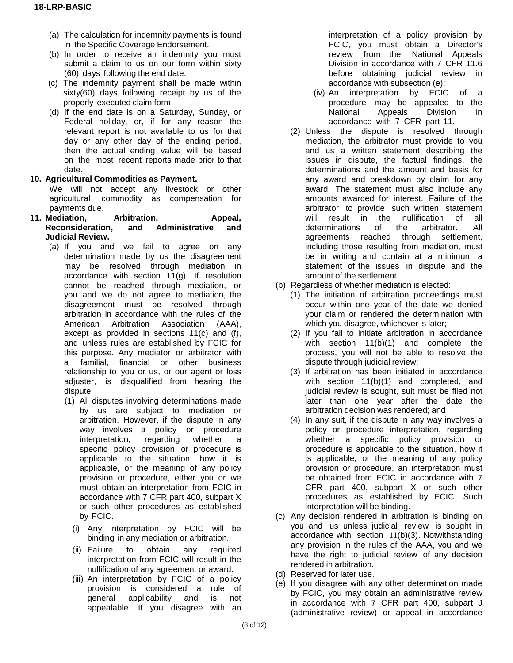- (a) The calculation for indemnity payments is found in the Specific Coverage Endorsement.
- (b) In order to receive an indemnity you must submit a claim to us on our form within sixty (60) days following the end date.
- (c) The indemnity payment shall be made within sixty(60) days following receipt by us of the properly executed claim form.
- (d) If the end date is on a Saturday, Sunday, or Federal holiday, or, if for any reason the relevant report is not available to us for that day or any other day of the ending period, then the actual ending value will be based on the most recent reports made prior to that date.
- **10. Agricultural Commodities as Payment.**

We will not accept any livestock or other agricultural commodity as compensation for payments due.

- **11. Mediation, Arbitration, Appeal, Reconsideration, and Administrative and Judicial Review.**
	- (a) If you and we fail to agree on any determination made by us the disagreement may be resolved through mediation in accordance with section 11(g). If resolution cannot be reached through mediation, or you and we do not agree to mediation, the disagreement must be resolved through arbitration in accordance with the rules of the American Arbitration Association (AAA), except as provided in sections 11(c) and (f), and unless rules are established by FCIC for this purpose. Any mediator or arbitrator with a familial, financial or other business relationship to you or us, or our agent or loss adjuster, is disqualified from hearing the dispute.
		- (1) All disputes involving determinations made by us are subject to mediation or arbitration. However, if the dispute in any way involves a policy or procedure interpretation, regarding whether a specific policy provision or procedure is applicable to the situation, how it is applicable, or the meaning of any policy provision or procedure, either you or we must obtain an interpretation from FCIC in accordance with 7 CFR part 400, subpart X or such other procedures as established by FCIC.
			- (i) Any interpretation by FCIC will be binding in any mediation or arbitration.
			- (ii) Failure to obtain any required interpretation from FCIC will result in the nullification of any agreement or award.
			- (iii) An interpretation by FCIC of a policy provision is considered a rule of general applicability and is not appealable. If you disagree with an

interpretation of a policy provision by FCIC, you must obtain a Director's review from the National Appeals Division in accordance with 7 CFR 11.6 before obtaining judicial review in accordance with subsection (e);

- (iv) An interpretation by FCIC of a procedure may be appealed to the National Appeals Division in accordance with 7 CFR part 11.
- (2) Unless the dispute is resolved through mediation, the arbitrator must provide to you and us a written statement describing the issues in dispute, the factual findings, the determinations and the amount and basis for any award and breakdown by claim for any award. The statement must also include any amounts awarded for interest. Failure of the arbitrator to provide such written statement will result in the nullification of all determinations of the arbitrator. All agreements reached through settlement, including those resulting from mediation, must be in writing and contain at a minimum a statement of the issues in dispute and the amount of the settlement.
- (b) Regardless of whether mediation is elected:
	- (1) The initiation of arbitration proceedings must occur within one year of the date we denied your claim or rendered the determination with which you disagree, whichever is later;
	- (2) If you fail to initiate arbitration in accordance with section 11(b)(1) and complete the process, you will not be able to resolve the dispute through judicial review;
	- (3) If arbitration has been initiated in accordance with section 11(b)(1) and completed, and judicial review is sought, suit must be filed not later than one year after the date the arbitration decision was rendered; and
	- (4) In any suit, if the dispute in any way involves a policy or procedure interpretation, regarding whether a specific policy provision or procedure is applicable to the situation, how it is applicable, or the meaning of any policy provision or procedure, an interpretation must be obtained from FCIC in accordance with 7 CFR part 400, subpart X or such other procedures as established by FCIC. Such interpretation will be binding.
- (c) Any decision rendered in arbitration is binding on you and us unless judicial review is sought in accordance with section 11(b)(3). Notwithstanding any provision in the rules of the AAA, you and we have the right to judicial review of any decision rendered in arbitration.
- (d) Reserved for later use.
- (e) If you disagree with any other determination made by FCIC, you may obtain an administrative review in accordance with 7 CFR part 400, subpart J (administrative review) or appeal in accordance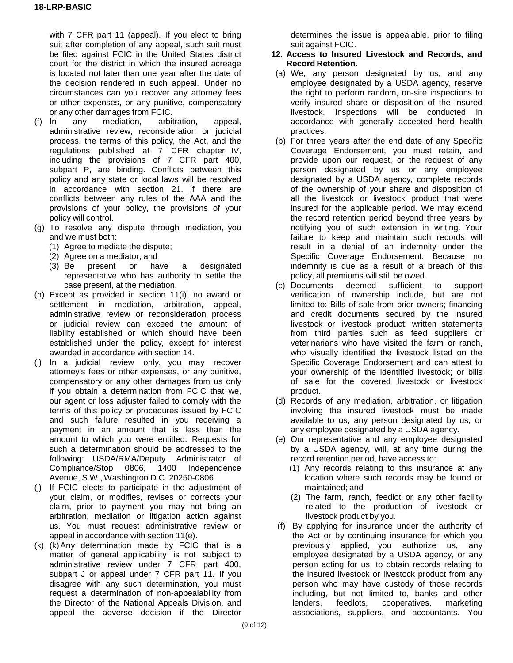with 7 CFR part 11 (appeal). If you elect to bring suit after completion of any appeal, such suit must be filed against FCIC in the United States district court for the district in which the insured acreage is located not later than one year after the date of the decision rendered in such appeal. Under no circumstances can you recover any attorney fees or other expenses, or any punitive, compensatory or any other damages from FCIC.

- (f) In any mediation, arbitration, appeal, administrative review, reconsideration or judicial process, the terms of this policy, the Act, and the regulations published at 7 CFR chapter IV, including the provisions of 7 CFR part 400, subpart P, are binding. Conflicts between this policy and any state or local laws will be resolved in accordance with section 21. If there are conflicts between any rules of the AAA and the provisions of your policy, the provisions of your policy will control.
- (g) To resolve any dispute through mediation, you and we must both:
	- (1) Agree to mediate the dispute;
	- (2) Agree on a mediator; and
	- (3) Be present or have a designated representative who has authority to settle the case present, at the mediation.
- (h) Except as provided in section 11(i), no award or settlement in mediation, arbitration, appeal, administrative review or reconsideration process or judicial review can exceed the amount of liability established or which should have been established under the policy, except for interest awarded in accordance with section 14.
- (i) In a judicial review only, you may recover attorney's fees or other expenses, or any punitive, compensatory or any other damages from us only if you obtain a determination from FCIC that we, our agent or loss adjuster failed to comply with the terms of this policy or procedures issued by FCIC and such failure resulted in you receiving a payment in an amount that is less than the amount to which you were entitled. Requests for such a determination should be addressed to the following: USDA/RMA/Deputy Administrator of Compliance/Stop 0806, 1400 Independence Avenue, S.W., Washington D.C. 20250-0806.
- (j) If FCIC elects to participate in the adjustment of your claim, or modifies, revises or corrects your claim, prior to payment, you may not bring an arbitration, mediation or litigation action against us. You must request administrative review or appeal in accordance with section 11(e).
- $(k)$   $(k)$  Any determination made by FCIC that is a matter of general applicability is not subject to administrative review under 7 CFR part 400, subpart J or appeal under 7 CFR part 11. If you disagree with any such determination, you must request a determination of non-appealability from the Director of the National Appeals Division, and appeal the adverse decision if the Director

determines the issue is appealable, prior to filing suit against FCIC.

#### **12. Access to Insured Livestock and Records, and Record Retention.**

- (a) We, any person designated by us, and any employee designated by a USDA agency, reserve the right to perform random, on-site inspections to verify insured share or disposition of the insured livestock. Inspections will be conducted in accordance with generally accepted herd health practices.
- (b) For three years after the end date of any Specific Coverage Endorsement, you must retain, and provide upon our request, or the request of any person designated by us or any employee designated by a USDA agency, complete records of the ownership of your share and disposition of all the livestock or livestock product that were insured for the applicable period. We may extend the record retention period beyond three years by notifying you of such extension in writing. Your failure to keep and maintain such records will result in a denial of an indemnity under the Specific Coverage Endorsement. Because no indemnity is due as a result of a breach of this policy, all premiums will still be owed.
- (c) Documents deemed sufficient to support verification of ownership include, but are not limited to: Bills of sale from prior owners; financing and credit documents secured by the insured livestock or livestock product; written statements from third parties such as feed suppliers or veterinarians who have visited the farm or ranch, who visually identified the livestock listed on the Specific Coverage Endorsement and can attest to your ownership of the identified livestock; or bills of sale for the covered livestock or livestock product.
- (d) Records of any mediation, arbitration, or litigation involving the insured livestock must be made available to us, any person designated by us, or any employee designated by a USDA agency.
- (e) Our representative and any employee designated by a USDA agency, will, at any time during the record retention period, have access to:
	- (1) Any records relating to this insurance at any location where such records may be found or maintained; and
	- (2) The farm, ranch, feedlot or any other facility related to the production of livestock or livestock product by you.
- (f) By applying for insurance under the authority of the Act or by continuing insurance for which you previously applied, you authorize us, any employee designated by a USDA agency, or any person acting for us, to obtain records relating to the insured livestock or livestock product from any person who may have custody of those records including, but not limited to, banks and other<br>lenders, feedlots, cooperatives, marketing lenders, feedlots, cooperatives, marketing associations, suppliers, and accountants. You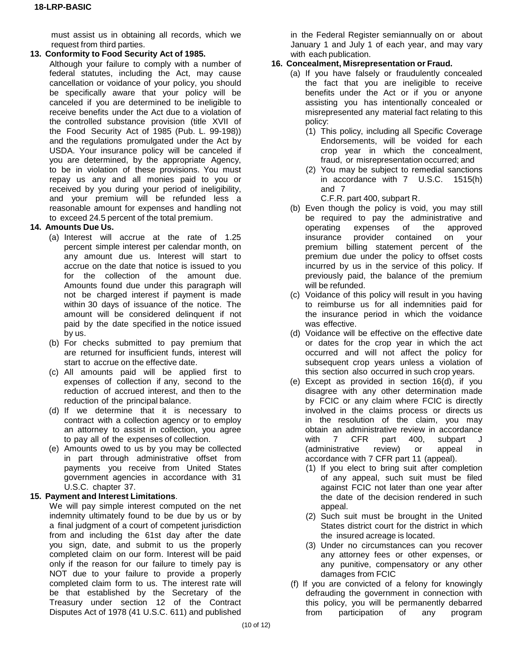must assist us in obtaining all records, which we request from third parties.

#### **13. Conformity to Food Security Act of 1985.**

Although your failure to comply with a number of federal statutes, including the Act, may cause cancellation or voidance of your policy, you should be specifically aware that your policy will be canceled if you are determined to be ineligible to receive benefits under the Act due to a violation of the controlled substance provision (title XVII of the Food Security Act of 1985 (Pub. L. 99-198)) and the regulations promulgated under the Act by USDA. Your insurance policy will be canceled if you are determined, by the appropriate Agency, to be in violation of these provisions. You must repay us any and all monies paid to you or received by you during your period of ineligibility, and your premium will be refunded less a reasonable amount for expenses and handling not to exceed 24.5 percent of the total premium.

#### **14. Amounts Due Us.**

- (a) Interest will accrue at the rate of 1.25 percent simple interest per calendar month, on any amount due us. Interest will start to accrue on the date that notice is issued to you for the collection of the amount due. Amounts found due under this paragraph will not be charged interest if payment is made within 30 days of issuance of the notice. The amount will be considered delinquent if not paid by the date specified in the notice issued by us.
- (b) For checks submitted to pay premium that are returned for insufficient funds, interest will start to accrue on the effective date.
- (c) All amounts paid will be applied first to expenses of collection if any, second to the reduction of accrued interest, and then to the reduction of the principal balance.
- (d) If we determine that it is necessary to contract with a collection agency or to employ an attorney to assist in collection, you agree to pay all of the expenses of collection.
- (e) Amounts owed to us by you may be collected in part through administrative offset from payments you receive from United States government agencies in accordance with 31 U.S.C. chapter 37.

## **15. Payment and Interest Limitations**.

We will pay simple interest computed on the net indemnity ultimately found to be due by us or by a final judgment of a court of competent jurisdiction from and including the 61st day after the date you sign, date, and submit to us the properly completed claim on our form. Interest will be paid only if the reason for our failure to timely pay is NOT due to your failure to provide a properly completed claim form to us. The interest rate will be that established by the Secretary of the Treasury under section 12 of the Contract Disputes Act of 1978 (41 U.S.C. 611) and published

in the Federal Register semiannually on or about January 1 and July 1 of each year, and may vary with each publication.

#### **16. Concealment, Misrepresentation or Fraud.**

- (a) If you have falsely or fraudulently concealed the fact that you are ineligible to receive benefits under the Act or if you or anyone assisting you has intentionally concealed or misrepresented any material fact relating to this policy:
	- (1) This policy, including all Specific Coverage Endorsements, will be voided for each crop year in which the concealment, fraud, or misrepresentation occurred; and
	- (2) You may be subject to remedial sanctions in accordance with 7 U.S.C. 1515(h) and 7

C.F.R. part 400, subpart R.

- (b) Even though the policy is void, you may still be required to pay the administrative and operating expenses of the approved insurance provider contained on your premium billing statement percent of the premium due under the policy to offset costs incurred by us in the service of this policy. If previously paid, the balance of the premium will be refunded.
- (c) Voidance of this policy will result in you having to reimburse us for all indemnities paid for the insurance period in which the voidance was effective.
- (d) Voidance will be effective on the effective date or dates for the crop year in which the act occurred and will not affect the policy for subsequent crop years unless a violation of this section also occurred in such crop years.
- (e) Except as provided in section 16(d), if you disagree with any other determination made by FCIC or any claim where FCIC is directly involved in the claims process or directs us in the resolution of the claim, you may obtain an administrative review in accordance with 7 CFR part 400, subpart J (administrative review) or appeal in accordance with 7 CFR part 11 (appeal).
	- (1) If you elect to bring suit after completion of any appeal, such suit must be filed against FCIC not later than one year after the date of the decision rendered in such appeal.
	- (2) Such suit must be brought in the United States district court for the district in which the insured acreage is located.
	- (3) Under no circumstances can you recover any attorney fees or other expenses, or any punitive, compensatory or any other damages from FCIC
- (f) If you are convicted of a felony for knowingly defrauding the government in connection with this policy, you will be permanently debarred<br>from participation of any program from participation of any program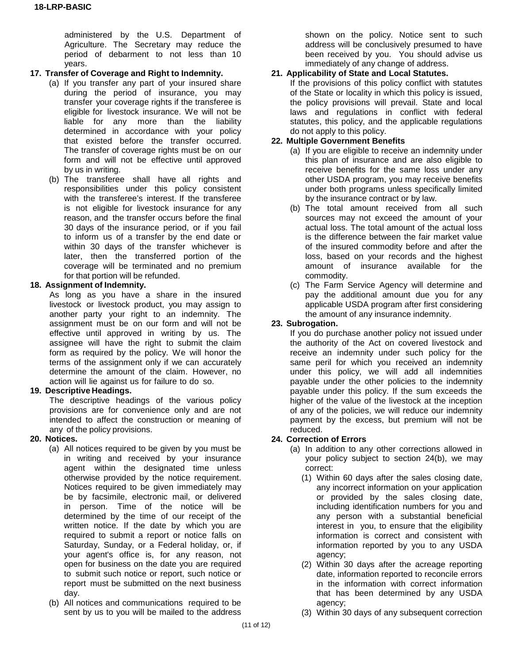administered by the U.S. Department of Agriculture. The Secretary may reduce the period of debarment to not less than 10 years.

# **17. Transfer of Coverage and Right to Indemnity.**

- (a) If you transfer any part of your insured share during the period of insurance, you may transfer your coverage rights if the transferee is eligible for livestock insurance. We will not be liable for any more than the liability determined in accordance with your policy that existed before the transfer occurred. The transfer of coverage rights must be on our form and will not be effective until approved by us in writing.
- (b) The transferee shall have all rights and responsibilities under this policy consistent with the transferee's interest. If the transferee is not eligible for livestock insurance for any reason, and the transfer occurs before the final 30 days of the insurance period, or if you fail to inform us of a transfer by the end date or within 30 days of the transfer whichever is later, then the transferred portion of the coverage will be terminated and no premium for that portion will be refunded.

# **18. Assignment of Indemnity.**

As long as you have a share in the insured livestock or livestock product, you may assign to another party your right to an indemnity. The assignment must be on our form and will not be effective until approved in writing by us. The assignee will have the right to submit the claim form as required by the policy. We will honor the terms of the assignment only if we can accurately determine the amount of the claim. However, no action will lie against us for failure to do so.

# **19. Descriptive Headings.**

The descriptive headings of the various policy provisions are for convenience only and are not intended to affect the construction or meaning of any of the policy provisions.

## **20. Notices.**

- (a) All notices required to be given by you must be in writing and received by your insurance agent within the designated time unless otherwise provided by the notice requirement. Notices required to be given immediately may be by facsimile, electronic mail, or delivered in person. Time of the notice will be determined by the time of our receipt of the written notice. If the date by which you are required to submit a report or notice falls on Saturday, Sunday, or a Federal holiday, or, if your agent's office is, for any reason, not open for business on the date you are required to submit such notice or report, such notice or report must be submitted on the next business day.
- (b) All notices and communications required to be sent by us to you will be mailed to the address

shown on the policy. Notice sent to such address will be conclusively presumed to have been received by you. You should advise us immediately of any change of address.

# **21. Applicability of State and Local Statutes.**

If the provisions of this policy conflict with statutes of the State or locality in which this policy is issued, the policy provisions will prevail. State and local laws and regulations in conflict with federal statutes, this policy, and the applicable regulations do not apply to this policy.

# **22. Multiple Government Benefits**

- (a) If you are eligible to receive an indemnity under this plan of insurance and are also eligible to receive benefits for the same loss under any other USDA program, you may receive benefits under both programs unless specifically limited by the insurance contract or by law.
- (b) The total amount received from all such sources may not exceed the amount of your actual loss. The total amount of the actual loss is the difference between the fair market value of the insured commodity before and after the loss, based on your records and the highest amount of insurance available for the commodity.
- (c) The Farm Service Agency will determine and pay the additional amount due you for any applicable USDA program after first considering the amount of any insurance indemnity.

#### **23. Subrogation.**

If you do purchase another policy not issued under the authority of the Act on covered livestock and receive an indemnity under such policy for the same peril for which you received an indemnity under this policy, we will add all indemnities payable under the other policies to the indemnity payable under this policy. If the sum exceeds the higher of the value of the livestock at the inception of any of the policies, we will reduce our indemnity payment by the excess, but premium will not be reduced.

## **24. Correction of Errors**

- (a) In addition to any other corrections allowed in your policy subject to section 24(b), we may correct:
	- (1) Within 60 days after the sales closing date, any incorrect information on your application or provided by the sales closing date, including identification numbers for you and any person with a substantial beneficial interest in you, to ensure that the eligibility information is correct and consistent with information reported by you to any USDA agency;
	- (2) Within 30 days after the acreage reporting date, information reported to reconcile errors in the information with correct information that has been determined by any USDA agency;
	- (3) Within 30 days of any subsequent correction